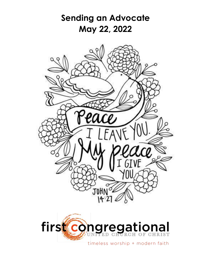



timeless worship + modern faith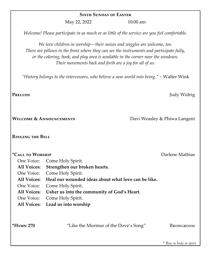#### **SIXTH SUNDAY OF EASTER**

May 22, 2022 10:00 am

*Welcome! Please participate in as much or as little of the service are you feel comfortable.*

*We love children in worship—their noises and wiggles are welcome, too. There are pillows in the front where they can see the instruments and participate fully, or the coloring, book, and play area is available in the corner near the windows. Their movements back and forth are a joy for all of us.*

*"History belongs to the intercessors, who believe a new world into being." ~* Walter Wink

**Welcome & Announcements** Davi Weasley & Phiwa Langeni

#### **Ringing the Bell**

# **\*Call to Worship** Darlene Mathias One Voice: Come Holy Spirit. **All Voices: Strengthen our broken hearts.** One Voice: Come Holy Spirit. **All Voices: Heal our wounded ideas about what love can be like.** One Voice: Come Holy Spirit. **All Voices: Usher us into the community of God's Heart.** One Voice: Come Holy Spirit. **All Voices: Lead us into worship**

\*HYMN 270 <br>
"Like the Murmur of the Dove's Song" BRIDEGROOM

*\* Rise in body or spirit*

**PRELUDE** Judy Widrig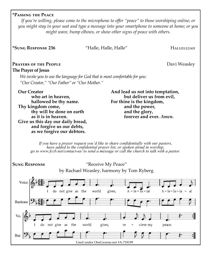#### **\*Passing the Peace**

*If you're willing, please come to the microphone to offer "peace" to those worshiping online; or you might stay in your seat and type a message into your smartphone to someone at home; or you might wave, bump elbows, or show other signs of peace with others.* 

**\*Sung Response 236** "Halle, Halle, Halle" Hallelujah

### **PRAYERS OF THE PEOPLE CONSERVANT CONSERVANT CONSERVANT CONSERVANT CONSERVANT CONSERVANT CONSERVANT CONSERVANT CONSERVANT CONSERVANT CONSERVANT CONSERVANT CONSERVANT CONSERVANT CONSERVANT CONSERVANT CONSERVANT CONSERVANT**

#### **The Prayer of Jesus**

*We invite you to use the language for God that is most comfortable for you: "Our Creator," "Our Father" or "Our Mother."*

**Our Creator who art in heaven, hallowed be thy name. Thy kingdom come, thy will be done on earth as it is in heaven. Give us this day our daily bread, and forgive us our debts, as we forgive our debtors.**

**And lead us not into temptation, but deliver us from evil, For thine is the kingdom, and the power, and the glory, forever and ever.** *Amen.*

*If you have a prayer request you'd like to share confidentially with our pastors, have added to the confidential prayer list, or spoken aloud in worship, go to www.fccb.net/contact-us/ to send a message or call the church to talk with a pastor.*

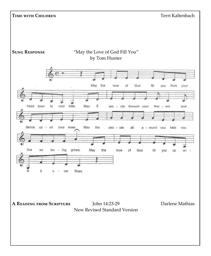#### **Time with Children** Terri Kaltenbach

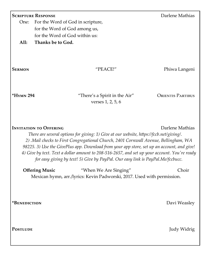| <b>SCRIPTURE RESPONSE</b>                                                                                                                                                                                                                                                                                                                                                                                                                                                                                           |                                                                                                                           | Darlene Mathias          |
|---------------------------------------------------------------------------------------------------------------------------------------------------------------------------------------------------------------------------------------------------------------------------------------------------------------------------------------------------------------------------------------------------------------------------------------------------------------------------------------------------------------------|---------------------------------------------------------------------------------------------------------------------------|--------------------------|
| One:                                                                                                                                                                                                                                                                                                                                                                                                                                                                                                                | For the Word of God in scripture,                                                                                         |                          |
|                                                                                                                                                                                                                                                                                                                                                                                                                                                                                                                     | for the Word of God among us,                                                                                             |                          |
|                                                                                                                                                                                                                                                                                                                                                                                                                                                                                                                     | for the Word of God within us:                                                                                            |                          |
| All:                                                                                                                                                                                                                                                                                                                                                                                                                                                                                                                | Thanks be to God.                                                                                                         |                          |
| <b>SERMON</b>                                                                                                                                                                                                                                                                                                                                                                                                                                                                                                       | "PEACE!"                                                                                                                  | Phiwa Langeni            |
| $*H$ YMN 294                                                                                                                                                                                                                                                                                                                                                                                                                                                                                                        | "There's a Spirit in the Air"<br>verses 1, 2, 5, 6                                                                        | <b>ORIENTIS PARTIBUS</b> |
| <b>INVITATION TO OFFERING</b><br>Darlene Mathias<br>There are several options for giving: 1) Give at our website, https://fccb.net/giving/.<br>2) Mail checks to First Congregational Church, 2401 Cornwall Avenue, Bellingham, WA<br>98225. 3) Use the GivePlus app. Download from your app store, set up an account, and give!<br>4) Give by text. Text a dollar amount to 208-516-2657, and set up your account. You're ready<br>for easy giving by text! 5) Give by PayPal. Our easy link is PayPal.Me/fccbucc. |                                                                                                                           |                          |
|                                                                                                                                                                                                                                                                                                                                                                                                                                                                                                                     | <b>Offering Music</b><br>"When We Are Singing"<br>Mexican hymn, arr./lyrics: Kevin Padworski, 2017. Used with permission. | Choir                    |
| *BENEDICTION                                                                                                                                                                                                                                                                                                                                                                                                                                                                                                        |                                                                                                                           | Davi Weasley             |
| <b>POSTLUDE</b>                                                                                                                                                                                                                                                                                                                                                                                                                                                                                                     |                                                                                                                           | Judy Widrig              |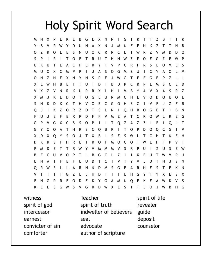# **Holy Spirit Word Search**

M N G X ĸ Y X R R D N  $\overline{z}$ R  $\mathsf S$ O C R O  $\Omega$ O т Z S p R Ù Z E F G  $\Omega$ т т W O  $\epsilon$ R  $\epsilon$ R F R ς  $\Omega$ ς  $\mathbf{U}$ E Υ т p F U  $\Omega$ X  $\mathsf{C}$ P J A  $\mathsf S$ G Z U C Y  $\Delta$ M м P  $\mathbf{I}$  $\Omega$ M O M Z E S P G T F E P Z  $\Omega$ N N X N Υ N F W F G X L W H B E T T Ü T D B D P C R P M S C E D V X Z V N R K U R R X L н T  $\mathsf{M}$ B Y A V X A S R Z X M J E D  $\mathbf 0$ Q G L U R M  $\mathsf{C}$ H E D Q E K T V O U O E C S N K D K C т  $H$ v O G O н S C ٧ F J Z F R  $\overline{z}$ R Ĵ K O R  $\overline{z}$ D S L H O G E T B N Q T. т N 0 F  $\cup$  $\mathsf{J}$ E F E R P F T C R 0 R E G D ٧ M A W L G C S Z G P  $\mathsf{V}$ X S O P Ť Т Q Z A Z F  $\overline{1}$ Q L T I G  $\Omega$  $\Omega$ н S C Q Q P D C ٧ Υ A т R В Κ I т o Q G X D X Q Y S O T Χ B S S J Ε W т C н Τ E S D K R F н R E т R  $\Omega$ F  $\Omega$ C O E н F W P D Ε Т R W M м S R Z U S B F B G C  $\overline{z}$ E W т D U Ν U т S R S G E R O R N D ς и N А v  $\overline{z}$ н D T ū H G ς X т G  $\mathbf{I}$ Υ X E F S F G P R O D K Υ G M Ν Q K E W A E G R D E K E S G S W X S Ľ T J J W B G W v o н

witness spirit of god intercessor earnest convicter of sin comforter

Teacher spirit of truth indweller of believers seal advocate author of scripture

spirit of life revealer guide deposit counselor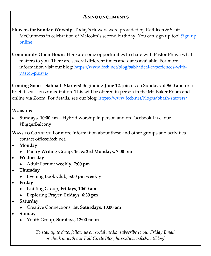# **Announcements**

- **Flowers for Sunday Worship:** Today's flowers were provided by Kathleen & Scott McGuinness in celebration of Malcolm's second birthday. You can sign up too! Sign up [online.](https://www.signupgenius.com/go/20F0B4FABAE2BAAF58-flower1)
- **Community Open Hours:** Here are some opportunities to share with Pastor Phiwa what matters to you. There are several different times and dates available. For more information visit our blog: [https://www.fccb.net/blog/sabbatical](https://www.fccb.net/blog/sabbatical-experiences-with-pastor-phiwa/)-experiences-withpastor-[phiwa/](https://www.fccb.net/blog/sabbatical-experiences-with-pastor-phiwa/)

**Coming Soon—Sabbath Starters!** Beginning **June 12**, join us on Sundays at **9:00 am** for a brief discussion & meditation. This will be offered in person in the Mt. Baker Room and online via Zoom. For details, see our blog: [https://www.fccb.net/blog/sabbath](https://www.fccb.net/blog/sabbath-starters/)-starters/

### **Worship:**

• **Sundays, 10:00 am**—Hybrid worship in person and on Facebook Live, our #BiggerBalcony

**Ways to Connect:** For more information about these and other groups and activities, contact office@fccb.net.

- **Monday**
	- Poetry Writing Group: **1st & 3rd Mondays, 7:00 pm**
- **Wednesday**
	- Adult Forum: **weekly, 7:00 pm**
- **Thursday**
	- Evening Book Club, **5:00 pm weekly**
- **Friday**
	- Knitting Group, **Fridays, 10:00 am**
	- Exploring Prayer, **Fridays, 6:30 pm**
- **Saturday**
	- Creative Connections, **1st Saturdays, 10:00 am**
- **Sunday**
	- Youth Group, **Sundays, 12:00 noon**

*To stay up to date, follow us on social media, subscribe to our Friday Email, or check in with our Full Circle Blog, https://www.fccb.net/blog/.*